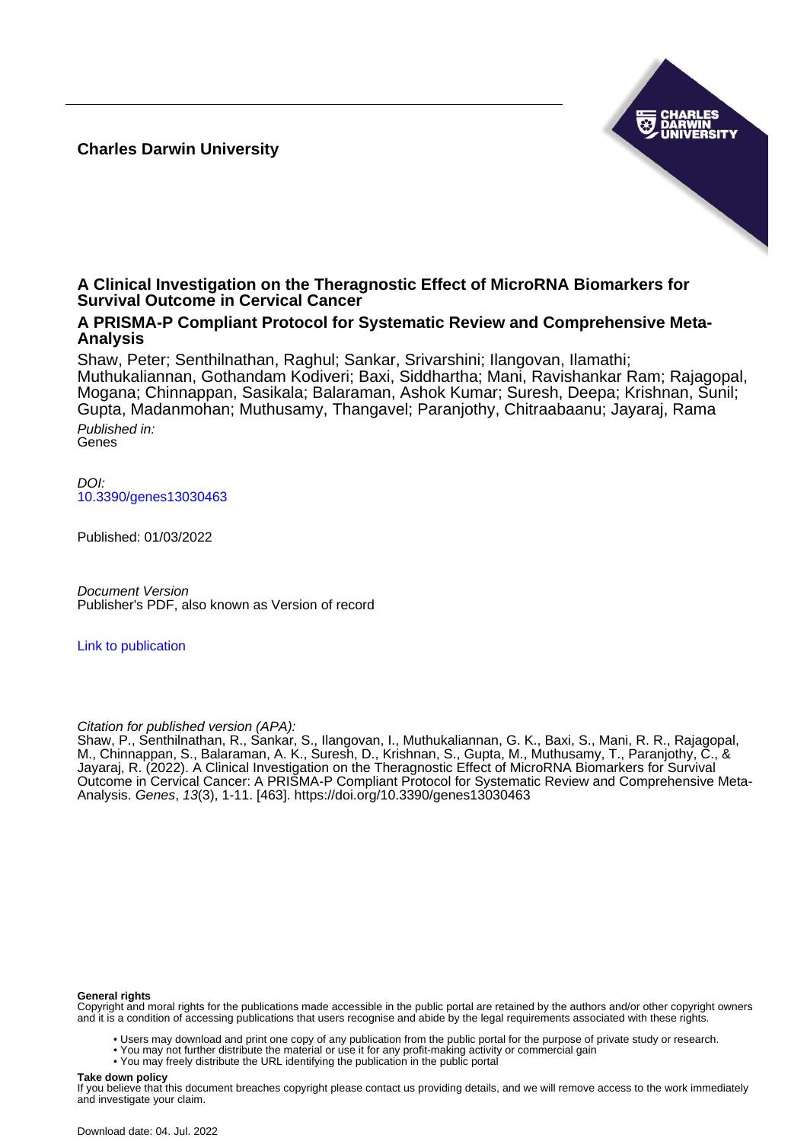**Charles Darwin University**



# **A Clinical Investigation on the Theragnostic Effect of MicroRNA Biomarkers for Survival Outcome in Cervical Cancer**

## **A PRISMA-P Compliant Protocol for Systematic Review and Comprehensive Meta-Analysis**

Shaw, Peter; Senthilnathan, Raghul; Sankar, Srivarshini; Ilangovan, Ilamathi; Muthukaliannan, Gothandam Kodiveri; Baxi, Siddhartha; Mani, Ravishankar Ram; Rajagopal, Mogana; Chinnappan, Sasikala; Balaraman, Ashok Kumar; Suresh, Deepa; Krishnan, Sunil; Gupta, Madanmohan; Muthusamy, Thangavel; Paranjothy, Chitraabaanu; Jayaraj, Rama Published in:

Genes

DOI: [10.3390/genes13030463](https://doi.org/10.3390/genes13030463)

Published: 01/03/2022

Document Version Publisher's PDF, also known as Version of record

[Link to publication](https://researchers.cdu.edu.au/en/publications/e5686145-dc24-4cbd-843a-e8fff22dc705)

### Citation for published version (APA):

Shaw, P., Senthilnathan, R., Sankar, S., Ilangovan, I., Muthukaliannan, G. K., Baxi, S., Mani, R. R., Rajagopal, M., Chinnappan, S., Balaraman, A. K., Suresh, D., Krishnan, S., Gupta, M., Muthusamy, T., Paranjothy, C., & Jayaraj, R. (2022). A Clinical Investigation on the Theragnostic Effect of MicroRNA Biomarkers for Survival Outcome in Cervical Cancer: A PRISMA-P Compliant Protocol for Systematic Review and Comprehensive Meta-Analysis. Genes, 13(3), 1-11. [463].<https://doi.org/10.3390/genes13030463>

#### **General rights**

Copyright and moral rights for the publications made accessible in the public portal are retained by the authors and/or other copyright owners and it is a condition of accessing publications that users recognise and abide by the legal requirements associated with these rights.

- Users may download and print one copy of any publication from the public portal for the purpose of private study or research.
- You may not further distribute the material or use it for any profit-making activity or commercial gain
- You may freely distribute the URL identifying the publication in the public portal

#### **Take down policy**

If you believe that this document breaches copyright please contact us providing details, and we will remove access to the work immediately and investigate your claim.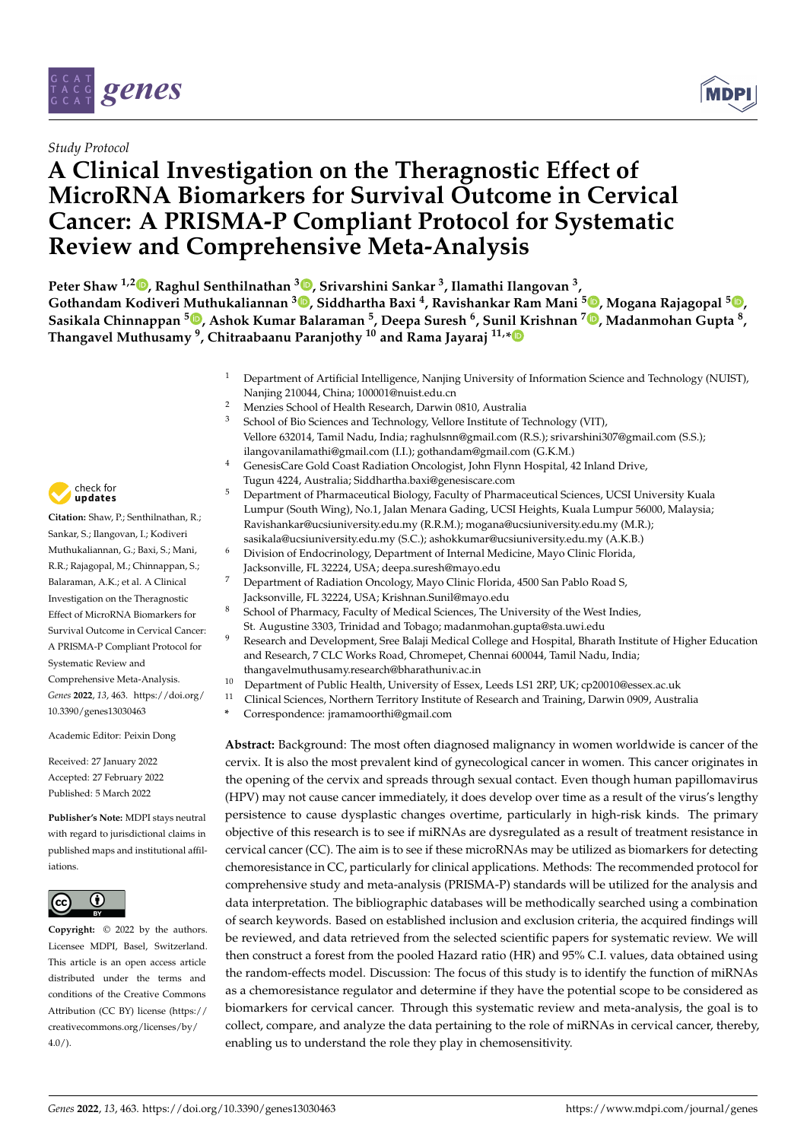

### *Study Protocol*

# **A Clinical Investigation on the Theragnostic Effect of MicroRNA Biomarkers for Survival Outcome in Cervical Cancer: A PRISMA-P Compliant Protocol for Systematic Review and Comprehensive Meta-Analysis**



**Peter Shaw 1,[2](https://orcid.org/0000-0002-3187-8938) , Raghul Senthilnathan <sup>3</sup> [,](https://orcid.org/0000-0002-0779-809X) Srivarshini Sankar <sup>3</sup> , Ilamathi Ilangovan <sup>3</sup> , Gothandam Kodiveri Muthukaliannan <sup>3</sup> [,](https://orcid.org/0000-0003-1576-5324) Siddhartha Baxi <sup>4</sup> , Ravishankar Ram Mani [5](https://orcid.org/0000-0003-4229-5778) , Mogana Rajagopal <sup>5</sup> [,](https://orcid.org/0000-0002-5664-9293) Sasikala Chinnappan <sup>5</sup> [,](https://orcid.org/0000-0002-7565-8662) Ashok Kumar Balaraman <sup>5</sup> , Deepa Suresh <sup>6</sup> , Sun[il K](https://orcid.org/0000-0002-2179-0510)rishnan <sup>7</sup> [,](https://orcid.org/0000-0002-1340-4771) Madanmohan Gupta <sup>8</sup> , Thangavel Muthusamy <sup>9</sup> , Chitraabaanu Paranjothy <sup>10</sup> and Rama Jayaraj 11,\***

- <sup>1</sup> Department of Artificial Intelligence, Nanjing University of Information Science and Technology (NUIST), Nanjing 210044, China; 100001@nuist.edu.cn
- <sup>2</sup> Menzies School of Health Research, Darwin 0810, Australia<br> $\frac{3}{2}$  School of Bio Sciences and Technology Vellow Institute of T
- <sup>3</sup> School of Bio Sciences and Technology, Vellore Institute of Technology (VIT), Vellore 632014, Tamil Nadu, India; raghulsnn@gmail.com (R.S.); srivarshini307@gmail.com (S.S.); ilangovanilamathi@gmail.com (I.I.); gothandam@gmail.com (G.K.M.)
- <sup>4</sup> GenesisCare Gold Coast Radiation Oncologist, John Flynn Hospital, 42 Inland Drive, Tugun 4224, Australia; Siddhartha.baxi@genesiscare.com
- <sup>5</sup> Department of Pharmaceutical Biology, Faculty of Pharmaceutical Sciences, UCSI University Kuala Lumpur (South Wing), No.1, Jalan Menara Gading, UCSI Heights, Kuala Lumpur 56000, Malaysia; Ravishankar@ucsiuniversity.edu.my (R.R.M.); mogana@ucsiuniversity.edu.my (M.R.); sasikala@ucsiuniversity.edu.my (S.C.); ashokkumar@ucsiuniversity.edu.my (A.K.B.)
- Division of Endocrinology, Department of Internal Medicine, Mayo Clinic Florida, Jacksonville, FL 32224, USA; deepa.suresh@mayo.edu
- <sup>7</sup> Department of Radiation Oncology, Mayo Clinic Florida, 4500 San Pablo Road S, Jacksonville, FL 32224, USA; Krishnan.Sunil@mayo.edu
- <sup>8</sup> School of Pharmacy, Faculty of Medical Sciences, The University of the West Indies, St. Augustine 3303, Trinidad and Tobago; madanmohan.gupta@sta.uwi.edu
- 9 Research and Development, Sree Balaji Medical College and Hospital, Bharath Institute of Higher Education and Research, 7 CLC Works Road, Chromepet, Chennai 600044, Tamil Nadu, India; thangavelmuthusamy.research@bharathuniv.ac.in
- <sup>10</sup> Department of Public Health, University of Essex, Leeds LS1 2RP, UK; cp20010@essex.ac.uk<br><sup>11</sup> Clinical Sciences, Nartham Tarritory Institute of Bessareh and Training, Darwin 0000, Austral
- <sup>11</sup> Clinical Sciences, Northern Territory Institute of Research and Training, Darwin 0909, Australia
- **\*** Correspondence: jramamoorthi@gmail.com

**Abstract:** Background: The most often diagnosed malignancy in women worldwide is cancer of the cervix. It is also the most prevalent kind of gynecological cancer in women. This cancer originates in the opening of the cervix and spreads through sexual contact. Even though human papillomavirus (HPV) may not cause cancer immediately, it does develop over time as a result of the virus's lengthy persistence to cause dysplastic changes overtime, particularly in high-risk kinds. The primary objective of this research is to see if miRNAs are dysregulated as a result of treatment resistance in cervical cancer (CC). The aim is to see if these microRNAs may be utilized as biomarkers for detecting chemoresistance in CC, particularly for clinical applications. Methods: The recommended protocol for comprehensive study and meta-analysis (PRISMA-P) standards will be utilized for the analysis and data interpretation. The bibliographic databases will be methodically searched using a combination of search keywords. Based on established inclusion and exclusion criteria, the acquired findings will be reviewed, and data retrieved from the selected scientific papers for systematic review. We will then construct a forest from the pooled Hazard ratio (HR) and 95% C.I. values, data obtained using the random-effects model. Discussion: The focus of this study is to identify the function of miRNAs as a chemoresistance regulator and determine if they have the potential scope to be considered as biomarkers for cervical cancer. Through this systematic review and meta-analysis, the goal is to collect, compare, and analyze the data pertaining to the role of miRNAs in cervical cancer, thereby, enabling us to understand the role they play in chemosensitivity.



**Citation:** Shaw, P.; Senthilnathan, R.; Sankar, S.; Ilangovan, I.; Kodiveri Muthukaliannan, G.; Baxi, S.; Mani, R.R.; Rajagopal, M.; Chinnappan, S.; Balaraman, A.K.; et al. A Clinical Investigation on the Theragnostic Effect of MicroRNA Biomarkers for Survival Outcome in Cervical Cancer: A PRISMA-P Compliant Protocol for Systematic Review and Comprehensive Meta-Analysis. *Genes* **2022**, *13*, 463. [https://doi.org/](https://doi.org/10.3390/genes13030463) [10.3390/genes13030463](https://doi.org/10.3390/genes13030463)

Academic Editor: Peixin Dong

Received: 27 January 2022 Accepted: 27 February 2022 Published: 5 March 2022

**Publisher's Note:** MDPI stays neutral with regard to jurisdictional claims in published maps and institutional affiliations.



**Copyright:** © 2022 by the authors. Licensee MDPI, Basel, Switzerland. This article is an open access article distributed under the terms and conditions of the Creative Commons Attribution (CC BY) license [\(https://](https://creativecommons.org/licenses/by/4.0/) [creativecommons.org/licenses/by/](https://creativecommons.org/licenses/by/4.0/)  $4.0/$ ).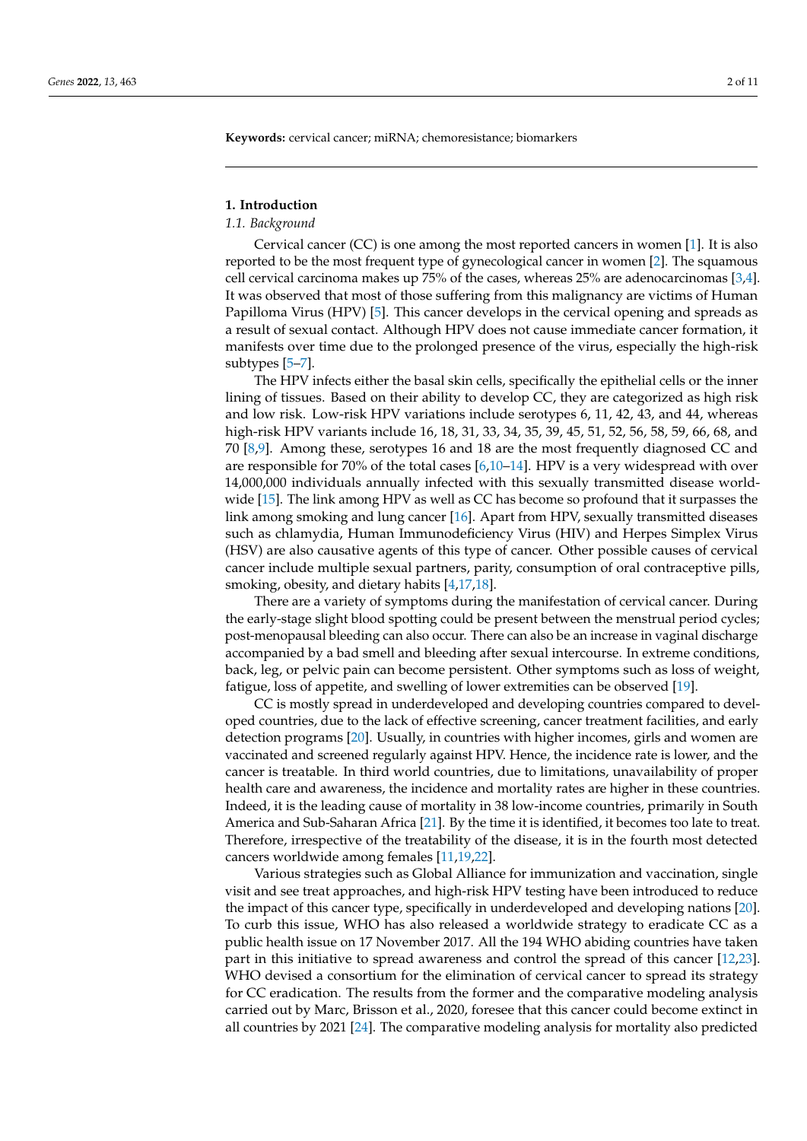**Keywords:** cervical cancer; miRNA; chemoresistance; biomarkers

#### **1. Introduction**

#### *1.1. Background*

Cervical cancer (CC) is one among the most reported cancers in women [\[1\]](#page-9-0). It is also reported to be the most frequent type of gynecological cancer in women [\[2\]](#page-9-1). The squamous cell cervical carcinoma makes up 75% of the cases, whereas 25% are adenocarcinomas [\[3](#page-9-2)[,4\]](#page-9-3). It was observed that most of those suffering from this malignancy are victims of Human Papilloma Virus (HPV) [\[5\]](#page-9-4). This cancer develops in the cervical opening and spreads as a result of sexual contact. Although HPV does not cause immediate cancer formation, it manifests over time due to the prolonged presence of the virus, especially the high-risk subtypes [\[5–](#page-9-4)[7\]](#page-9-5).

The HPV infects either the basal skin cells, specifically the epithelial cells or the inner lining of tissues. Based on their ability to develop CC, they are categorized as high risk and low risk. Low-risk HPV variations include serotypes 6, 11, 42, 43, and 44, whereas high-risk HPV variants include 16, 18, 31, 33, 34, 35, 39, 45, 51, 52, 56, 58, 59, 66, 68, and 70 [\[8,](#page-9-6)[9\]](#page-9-7). Among these, serotypes 16 and 18 are the most frequently diagnosed CC and are responsible for 70% of the total cases  $[6,10-14]$  $[6,10-14]$  $[6,10-14]$ . HPV is a very widespread with over 14,000,000 individuals annually infected with this sexually transmitted disease worldwide [\[15\]](#page-10-0). The link among HPV as well as CC has become so profound that it surpasses the link among smoking and lung cancer [\[16\]](#page-10-1). Apart from HPV, sexually transmitted diseases such as chlamydia, Human Immunodeficiency Virus (HIV) and Herpes Simplex Virus (HSV) are also causative agents of this type of cancer. Other possible causes of cervical cancer include multiple sexual partners, parity, consumption of oral contraceptive pills, smoking, obesity, and dietary habits [\[4](#page-9-3)[,17](#page-10-2)[,18\]](#page-10-3).

There are a variety of symptoms during the manifestation of cervical cancer. During the early-stage slight blood spotting could be present between the menstrual period cycles; post-menopausal bleeding can also occur. There can also be an increase in vaginal discharge accompanied by a bad smell and bleeding after sexual intercourse. In extreme conditions, back, leg, or pelvic pain can become persistent. Other symptoms such as loss of weight, fatigue, loss of appetite, and swelling of lower extremities can be observed [\[19\]](#page-10-4).

CC is mostly spread in underdeveloped and developing countries compared to developed countries, due to the lack of effective screening, cancer treatment facilities, and early detection programs [\[20\]](#page-10-5). Usually, in countries with higher incomes, girls and women are vaccinated and screened regularly against HPV. Hence, the incidence rate is lower, and the cancer is treatable. In third world countries, due to limitations, unavailability of proper health care and awareness, the incidence and mortality rates are higher in these countries. Indeed, it is the leading cause of mortality in 38 low-income countries, primarily in South America and Sub-Saharan Africa [\[21\]](#page-10-6). By the time it is identified, it becomes too late to treat. Therefore, irrespective of the treatability of the disease, it is in the fourth most detected cancers worldwide among females [\[11,](#page-9-11)[19,](#page-10-4)[22\]](#page-10-7).

Various strategies such as Global Alliance for immunization and vaccination, single visit and see treat approaches, and high-risk HPV testing have been introduced to reduce the impact of this cancer type, specifically in underdeveloped and developing nations [\[20\]](#page-10-5). To curb this issue, WHO has also released a worldwide strategy to eradicate CC as a public health issue on 17 November 2017. All the 194 WHO abiding countries have taken part in this initiative to spread awareness and control the spread of this cancer [\[12,](#page-9-12)[23\]](#page-10-8). WHO devised a consortium for the elimination of cervical cancer to spread its strategy for CC eradication. The results from the former and the comparative modeling analysis carried out by Marc, Brisson et al., 2020, foresee that this cancer could become extinct in all countries by 2021 [\[24\]](#page-10-9). The comparative modeling analysis for mortality also predicted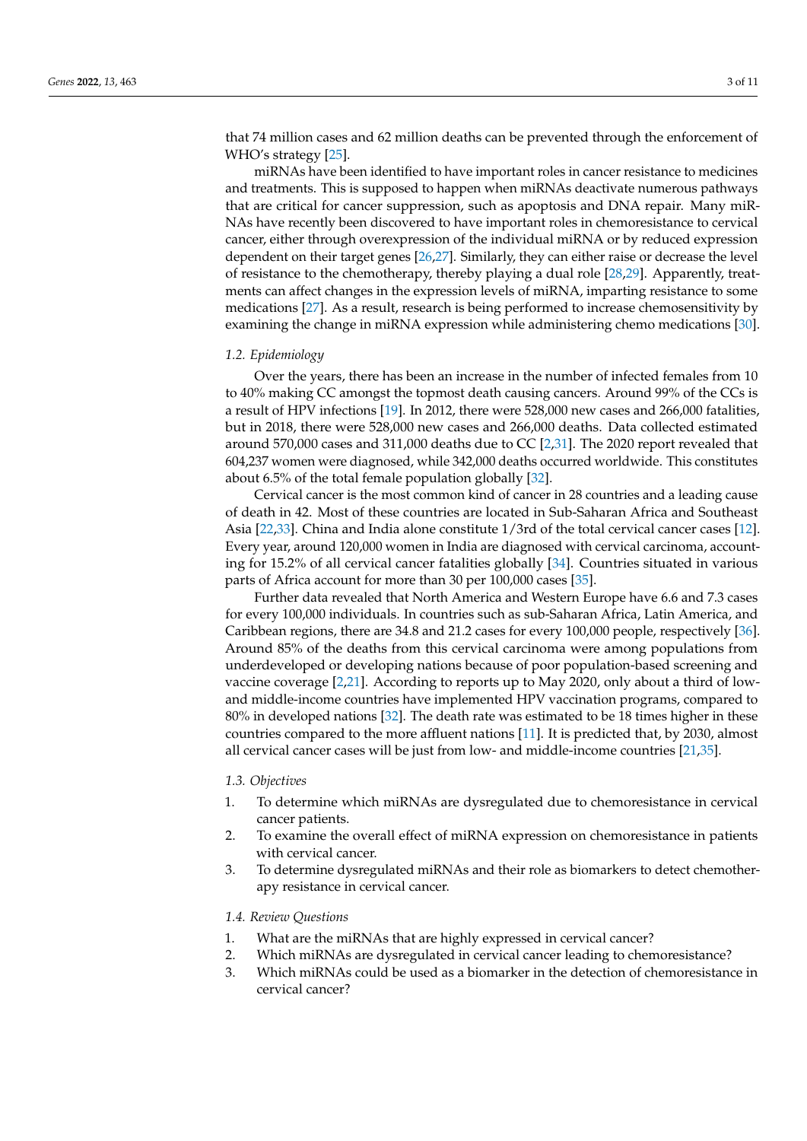that 74 million cases and 62 million deaths can be prevented through the enforcement of WHO's strategy [\[25\]](#page-10-10).

miRNAs have been identified to have important roles in cancer resistance to medicines and treatments. This is supposed to happen when miRNAs deactivate numerous pathways that are critical for cancer suppression, such as apoptosis and DNA repair. Many miR-NAs have recently been discovered to have important roles in chemoresistance to cervical cancer, either through overexpression of the individual miRNA or by reduced expression dependent on their target genes [\[26](#page-10-11)[,27\]](#page-10-12). Similarly, they can either raise or decrease the level of resistance to the chemotherapy, thereby playing a dual role [\[28](#page-10-13)[,29\]](#page-10-14). Apparently, treatments can affect changes in the expression levels of miRNA, imparting resistance to some medications [\[27\]](#page-10-12). As a result, research is being performed to increase chemosensitivity by examining the change in miRNA expression while administering chemo medications [\[30\]](#page-10-15).

#### *1.2. Epidemiology*

Over the years, there has been an increase in the number of infected females from 10 to 40% making CC amongst the topmost death causing cancers. Around 99% of the CCs is a result of HPV infections [\[19\]](#page-10-4). In 2012, there were 528,000 new cases and 266,000 fatalities, but in 2018, there were 528,000 new cases and 266,000 deaths. Data collected estimated around 570,000 cases and 311,000 deaths due to CC [\[2,](#page-9-1)[31\]](#page-10-16). The 2020 report revealed that 604,237 women were diagnosed, while 342,000 deaths occurred worldwide. This constitutes about 6.5% of the total female population globally [\[32\]](#page-10-17).

Cervical cancer is the most common kind of cancer in 28 countries and a leading cause of death in 42. Most of these countries are located in Sub-Saharan Africa and Southeast Asia [\[22](#page-10-7)[,33\]](#page-10-18). China and India alone constitute 1/3rd of the total cervical cancer cases [\[12\]](#page-9-12). Every year, around 120,000 women in India are diagnosed with cervical carcinoma, accounting for 15.2% of all cervical cancer fatalities globally [\[34\]](#page-10-19). Countries situated in various parts of Africa account for more than 30 per 100,000 cases [\[35\]](#page-10-20).

Further data revealed that North America and Western Europe have 6.6 and 7.3 cases for every 100,000 individuals. In countries such as sub-Saharan Africa, Latin America, and Caribbean regions, there are 34.8 and 21.2 cases for every 100,000 people, respectively [\[36\]](#page-10-21). Around 85% of the deaths from this cervical carcinoma were among populations from underdeveloped or developing nations because of poor population-based screening and vaccine coverage [\[2,](#page-9-1)[21\]](#page-10-6). According to reports up to May 2020, only about a third of lowand middle-income countries have implemented HPV vaccination programs, compared to 80% in developed nations [\[32\]](#page-10-17). The death rate was estimated to be 18 times higher in these countries compared to the more affluent nations [\[11\]](#page-9-11). It is predicted that, by 2030, almost all cervical cancer cases will be just from low- and middle-income countries [\[21,](#page-10-6)[35\]](#page-10-20).

#### *1.3. Objectives*

- 1. To determine which miRNAs are dysregulated due to chemoresistance in cervical cancer patients.
- 2. To examine the overall effect of miRNA expression on chemoresistance in patients with cervical cancer.
- 3. To determine dysregulated miRNAs and their role as biomarkers to detect chemotherapy resistance in cervical cancer.

#### *1.4. Review Questions*

- 1. What are the miRNAs that are highly expressed in cervical cancer?
- 2. Which miRNAs are dysregulated in cervical cancer leading to chemoresistance?
- 3. Which miRNAs could be used as a biomarker in the detection of chemoresistance in cervical cancer?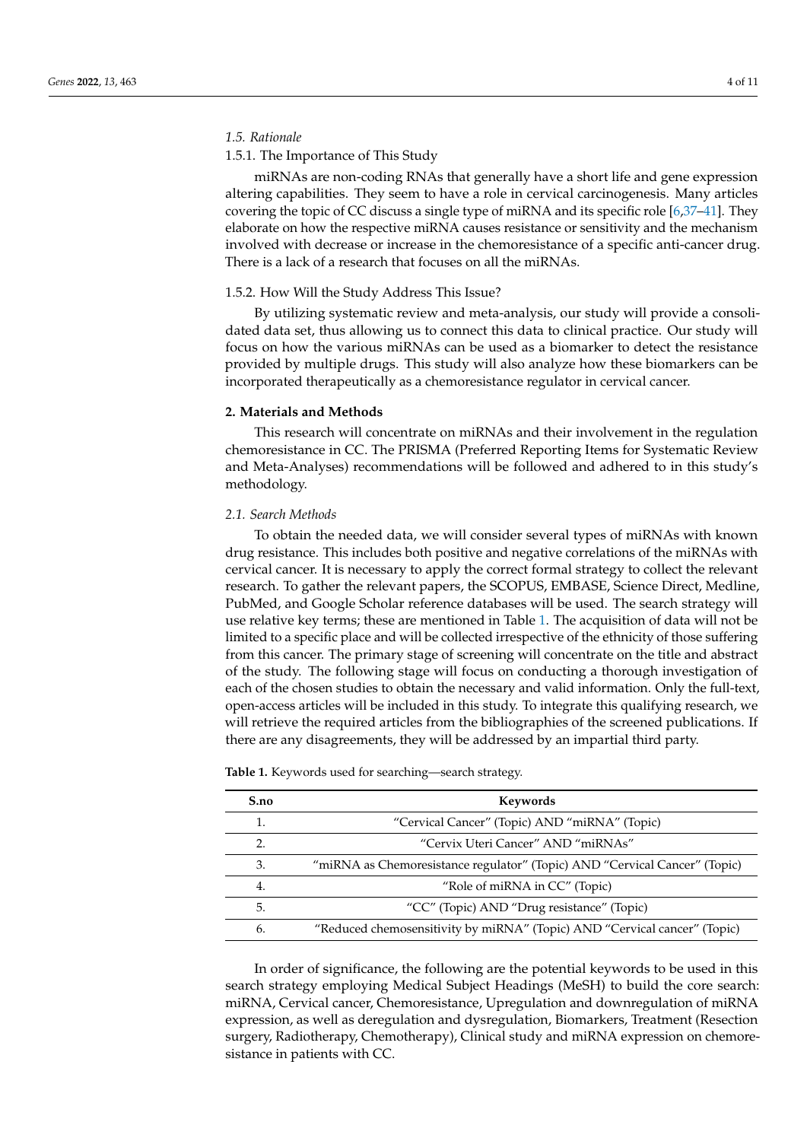#### *1.5. Rationale*

#### 1.5.1. The Importance of This Study

miRNAs are non-coding RNAs that generally have a short life and gene expression altering capabilities. They seem to have a role in cervical carcinogenesis. Many articles covering the topic of CC discuss a single type of miRNA and its specific role [\[6](#page-9-8)[,37](#page-10-22)[–41\]](#page-11-0). They elaborate on how the respective miRNA causes resistance or sensitivity and the mechanism involved with decrease or increase in the chemoresistance of a specific anti-cancer drug. There is a lack of a research that focuses on all the miRNAs.

#### 1.5.2. How Will the Study Address This Issue?

By utilizing systematic review and meta-analysis, our study will provide a consolidated data set, thus allowing us to connect this data to clinical practice. Our study will focus on how the various miRNAs can be used as a biomarker to detect the resistance provided by multiple drugs. This study will also analyze how these biomarkers can be incorporated therapeutically as a chemoresistance regulator in cervical cancer.

#### **2. Materials and Methods**

This research will concentrate on miRNAs and their involvement in the regulation chemoresistance in CC. The PRISMA (Preferred Reporting Items for Systematic Review and Meta-Analyses) recommendations will be followed and adhered to in this study's methodology.

#### *2.1. Search Methods*

To obtain the needed data, we will consider several types of miRNAs with known drug resistance. This includes both positive and negative correlations of the miRNAs with cervical cancer. It is necessary to apply the correct formal strategy to collect the relevant research. To gather the relevant papers, the SCOPUS, EMBASE, Science Direct, Medline, PubMed, and Google Scholar reference databases will be used. The search strategy will use relative key terms; these are mentioned in Table [1.](#page-4-0) The acquisition of data will not be limited to a specific place and will be collected irrespective of the ethnicity of those suffering from this cancer. The primary stage of screening will concentrate on the title and abstract of the study. The following stage will focus on conducting a thorough investigation of each of the chosen studies to obtain the necessary and valid information. Only the full-text, open-access articles will be included in this study. To integrate this qualifying research, we will retrieve the required articles from the bibliographies of the screened publications. If there are any disagreements, they will be addressed by an impartial third party.

| S.no                  | Keywords                                                                   |
|-----------------------|----------------------------------------------------------------------------|
|                       | "Cervical Cancer" (Topic) AND "miRNA" (Topic)                              |
| $\mathcal{D}_{\cdot}$ | "Cervix Uteri Cancer" AND "miRNAs"                                         |
| 3.                    | "miRNA as Chemoresistance regulator" (Topic) AND "Cervical Cancer" (Topic) |
| 4.                    | "Role of miRNA in CC" (Topic)                                              |
| .5.                   | "CC" (Topic) AND "Drug resistance" (Topic)                                 |
| 6.                    | "Reduced chemosensitivity by miRNA" (Topic) AND "Cervical cancer" (Topic)  |
|                       |                                                                            |

<span id="page-4-0"></span>**Table 1.** Keywords used for searching—search strategy.

In order of significance, the following are the potential keywords to be used in this search strategy employing Medical Subject Headings (MeSH) to build the core search: miRNA, Cervical cancer, Chemoresistance, Upregulation and downregulation of miRNA expression, as well as deregulation and dysregulation, Biomarkers, Treatment (Resection surgery, Radiotherapy, Chemotherapy), Clinical study and miRNA expression on chemoresistance in patients with CC.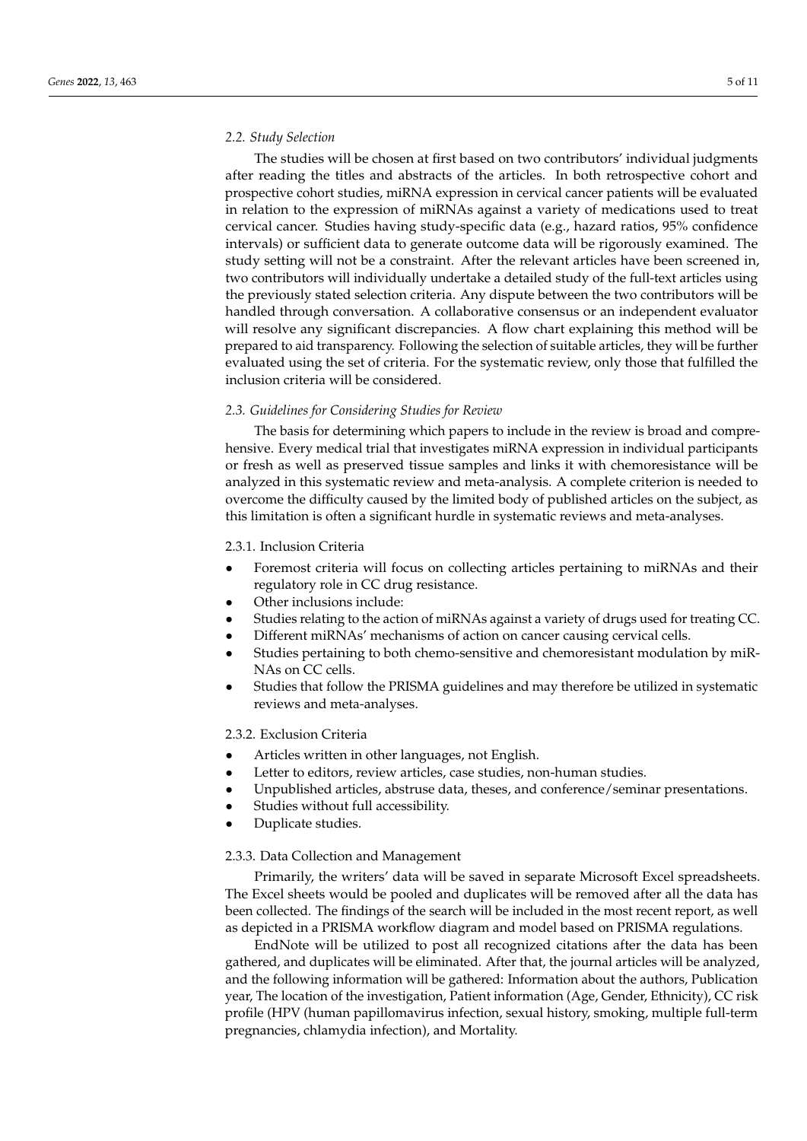#### *2.2. Study Selection*

The studies will be chosen at first based on two contributors' individual judgments after reading the titles and abstracts of the articles. In both retrospective cohort and prospective cohort studies, miRNA expression in cervical cancer patients will be evaluated in relation to the expression of miRNAs against a variety of medications used to treat cervical cancer. Studies having study-specific data (e.g., hazard ratios, 95% confidence intervals) or sufficient data to generate outcome data will be rigorously examined. The study setting will not be a constraint. After the relevant articles have been screened in, two contributors will individually undertake a detailed study of the full-text articles using the previously stated selection criteria. Any dispute between the two contributors will be handled through conversation. A collaborative consensus or an independent evaluator will resolve any significant discrepancies. A flow chart explaining this method will be prepared to aid transparency. Following the selection of suitable articles, they will be further evaluated using the set of criteria. For the systematic review, only those that fulfilled the inclusion criteria will be considered.

#### *2.3. Guidelines for Considering Studies for Review*

The basis for determining which papers to include in the review is broad and comprehensive. Every medical trial that investigates miRNA expression in individual participants or fresh as well as preserved tissue samples and links it with chemoresistance will be analyzed in this systematic review and meta-analysis. A complete criterion is needed to overcome the difficulty caused by the limited body of published articles on the subject, as this limitation is often a significant hurdle in systematic reviews and meta-analyses.

#### 2.3.1. Inclusion Criteria

- Foremost criteria will focus on collecting articles pertaining to miRNAs and their regulatory role in CC drug resistance.
- Other inclusions include:
- Studies relating to the action of miRNAs against a variety of drugs used for treating CC.
- Different miRNAs' mechanisms of action on cancer causing cervical cells.
- Studies pertaining to both chemo-sensitive and chemoresistant modulation by miR-NAs on CC cells.
- Studies that follow the PRISMA guidelines and may therefore be utilized in systematic reviews and meta-analyses.

#### 2.3.2. Exclusion Criteria

- Articles written in other languages, not English.
- Letter to editors, review articles, case studies, non-human studies.
- Unpublished articles, abstruse data, theses, and conference/seminar presentations.
- Studies without full accessibility.
- Duplicate studies.

#### 2.3.3. Data Collection and Management

Primarily, the writers' data will be saved in separate Microsoft Excel spreadsheets. The Excel sheets would be pooled and duplicates will be removed after all the data has been collected. The findings of the search will be included in the most recent report, as well as depicted in a PRISMA workflow diagram and model based on PRISMA regulations.

EndNote will be utilized to post all recognized citations after the data has been gathered, and duplicates will be eliminated. After that, the journal articles will be analyzed, and the following information will be gathered: Information about the authors, Publication year, The location of the investigation, Patient information (Age, Gender, Ethnicity), CC risk profile (HPV (human papillomavirus infection, sexual history, smoking, multiple full-term pregnancies, chlamydia infection), and Mortality.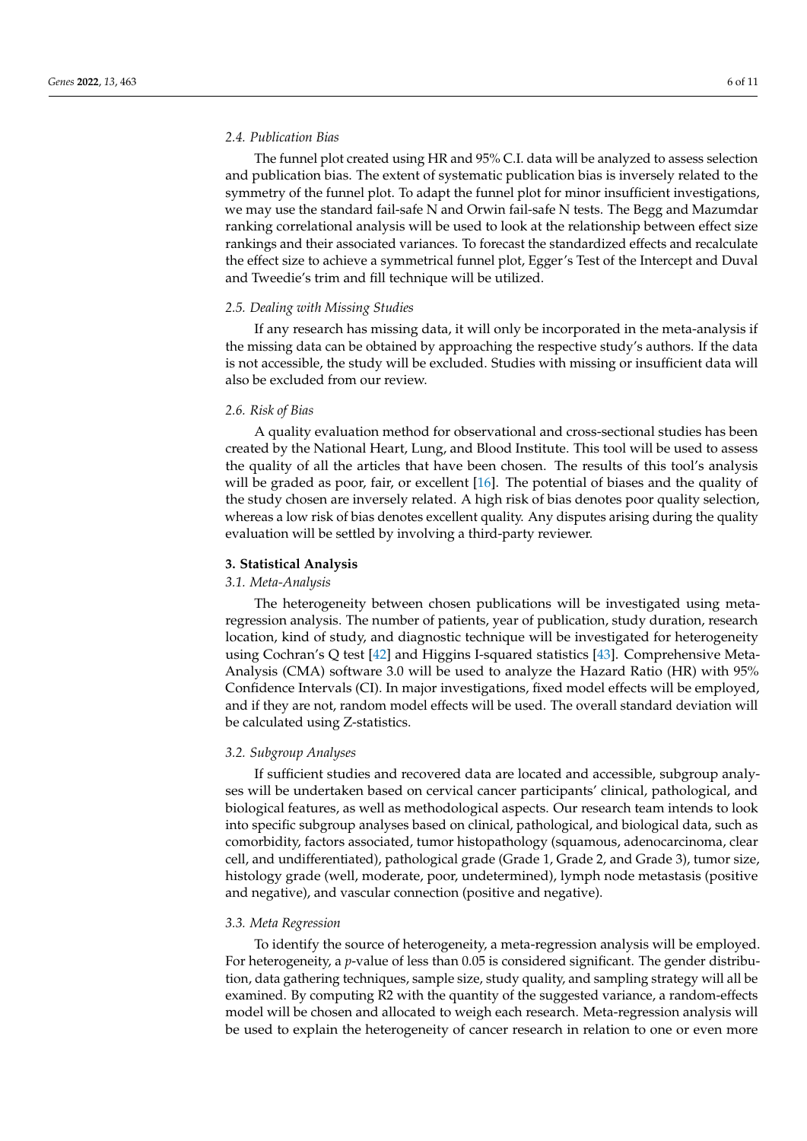#### *2.4. Publication Bias*

The funnel plot created using HR and 95% C.I. data will be analyzed to assess selection and publication bias. The extent of systematic publication bias is inversely related to the symmetry of the funnel plot. To adapt the funnel plot for minor insufficient investigations, we may use the standard fail-safe N and Orwin fail-safe N tests. The Begg and Mazumdar ranking correlational analysis will be used to look at the relationship between effect size rankings and their associated variances. To forecast the standardized effects and recalculate the effect size to achieve a symmetrical funnel plot, Egger's Test of the Intercept and Duval and Tweedie's trim and fill technique will be utilized.

#### *2.5. Dealing with Missing Studies*

If any research has missing data, it will only be incorporated in the meta-analysis if the missing data can be obtained by approaching the respective study's authors. If the data is not accessible, the study will be excluded. Studies with missing or insufficient data will also be excluded from our review.

#### *2.6. Risk of Bias*

A quality evaluation method for observational and cross-sectional studies has been created by the National Heart, Lung, and Blood Institute. This tool will be used to assess the quality of all the articles that have been chosen. The results of this tool's analysis will be graded as poor, fair, or excellent [\[16\]](#page-10-1). The potential of biases and the quality of the study chosen are inversely related. A high risk of bias denotes poor quality selection, whereas a low risk of bias denotes excellent quality. Any disputes arising during the quality evaluation will be settled by involving a third-party reviewer.

#### **3. Statistical Analysis**

#### *3.1. Meta-Analysis*

The heterogeneity between chosen publications will be investigated using metaregression analysis. The number of patients, year of publication, study duration, research location, kind of study, and diagnostic technique will be investigated for heterogeneity using Cochran's Q test [\[42\]](#page-11-1) and Higgins I-squared statistics [\[43\]](#page-11-2). Comprehensive Meta-Analysis (CMA) software 3.0 will be used to analyze the Hazard Ratio (HR) with 95% Confidence Intervals (CI). In major investigations, fixed model effects will be employed, and if they are not, random model effects will be used. The overall standard deviation will be calculated using Z-statistics.

#### *3.2. Subgroup Analyses*

If sufficient studies and recovered data are located and accessible, subgroup analyses will be undertaken based on cervical cancer participants' clinical, pathological, and biological features, as well as methodological aspects. Our research team intends to look into specific subgroup analyses based on clinical, pathological, and biological data, such as comorbidity, factors associated, tumor histopathology (squamous, adenocarcinoma, clear cell, and undifferentiated), pathological grade (Grade 1, Grade 2, and Grade 3), tumor size, histology grade (well, moderate, poor, undetermined), lymph node metastasis (positive and negative), and vascular connection (positive and negative).

#### *3.3. Meta Regression*

To identify the source of heterogeneity, a meta-regression analysis will be employed. For heterogeneity, a *p*-value of less than 0.05 is considered significant. The gender distribution, data gathering techniques, sample size, study quality, and sampling strategy will all be examined. By computing R2 with the quantity of the suggested variance, a random-effects model will be chosen and allocated to weigh each research. Meta-regression analysis will be used to explain the heterogeneity of cancer research in relation to one or even more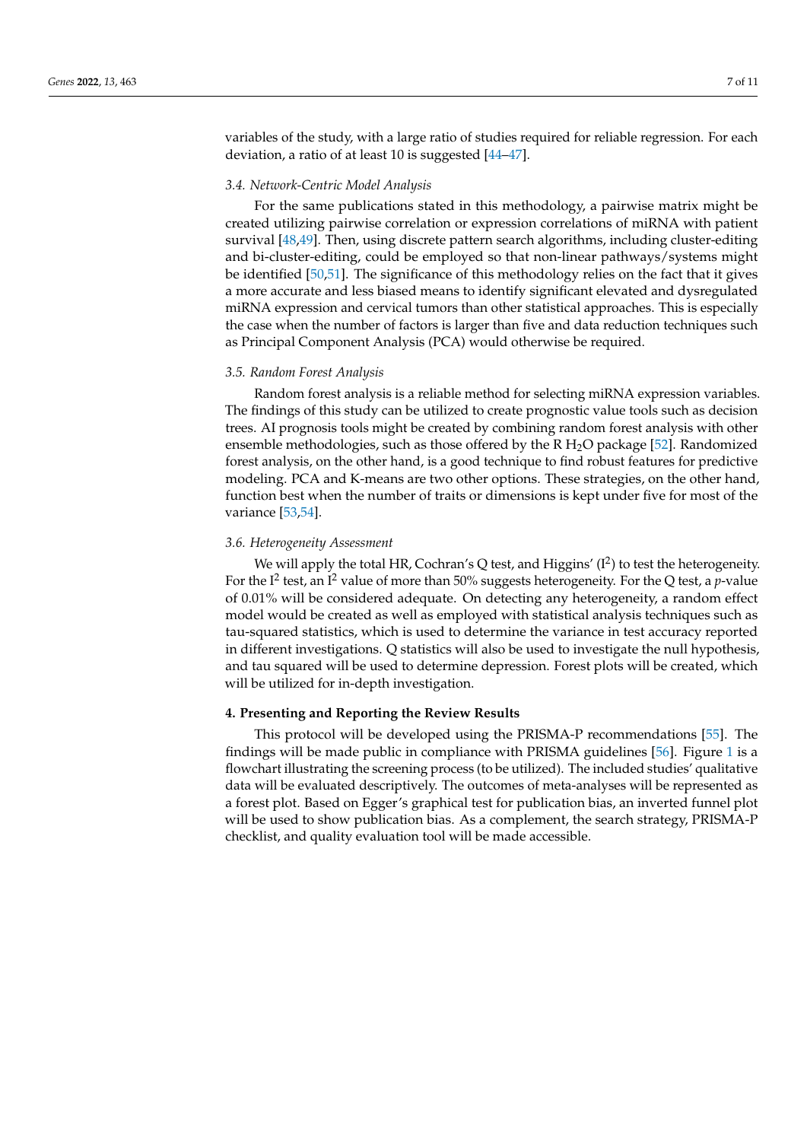variables of the study, with a large ratio of studies required for reliable regression. For each deviation, a ratio of at least 10 is suggested [\[44](#page-11-3)[–47\]](#page-11-4).

#### *3.4. Network-Centric Model Analysis*

For the same publications stated in this methodology, a pairwise matrix might be created utilizing pairwise correlation or expression correlations of miRNA with patient survival [\[48,](#page-11-5)[49\]](#page-11-6). Then, using discrete pattern search algorithms, including cluster-editing and bi-cluster-editing, could be employed so that non-linear pathways/systems might be identified [\[50,](#page-11-7)[51\]](#page-11-8). The significance of this methodology relies on the fact that it gives a more accurate and less biased means to identify significant elevated and dysregulated miRNA expression and cervical tumors than other statistical approaches. This is especially the case when the number of factors is larger than five and data reduction techniques such as Principal Component Analysis (PCA) would otherwise be required.

#### *3.5. Random Forest Analysis*

Random forest analysis is a reliable method for selecting miRNA expression variables. The findings of this study can be utilized to create prognostic value tools such as decision trees. AI prognosis tools might be created by combining random forest analysis with other ensemble methodologies, such as those offered by the  $R H<sub>2</sub>O$  package [\[52\]](#page-11-9). Randomized forest analysis, on the other hand, is a good technique to find robust features for predictive modeling. PCA and K-means are two other options. These strategies, on the other hand, function best when the number of traits or dimensions is kept under five for most of the variance [\[53](#page-11-10)[,54\]](#page-11-11).

#### *3.6. Heterogeneity Assessment*

We will apply the total HR, Cochran's Q test, and Higgins'  $(I^2)$  to test the heterogeneity. For the I<sup>2</sup> test, an I<sup>2</sup> value of more than 50% suggests heterogeneity. For the Q test, a *p*-value of 0.01% will be considered adequate. On detecting any heterogeneity, a random effect model would be created as well as employed with statistical analysis techniques such as tau-squared statistics, which is used to determine the variance in test accuracy reported in different investigations. Q statistics will also be used to investigate the null hypothesis, and tau squared will be used to determine depression. Forest plots will be created, which will be utilized for in-depth investigation.

#### **4. Presenting and Reporting the Review Results**

This protocol will be developed using the PRISMA-P recommendations [\[55\]](#page-11-12). The findings will be made public in compliance with PRISMA guidelines [\[56\]](#page-11-13). Figure [1](#page-8-0) is a flowchart illustrating the screening process (to be utilized). The included studies' qualitative data will be evaluated descriptively. The outcomes of meta-analyses will be represented as a forest plot. Based on Egger's graphical test for publication bias, an inverted funnel plot will be used to show publication bias. As a complement, the search strategy, PRISMA-P checklist, and quality evaluation tool will be made accessible.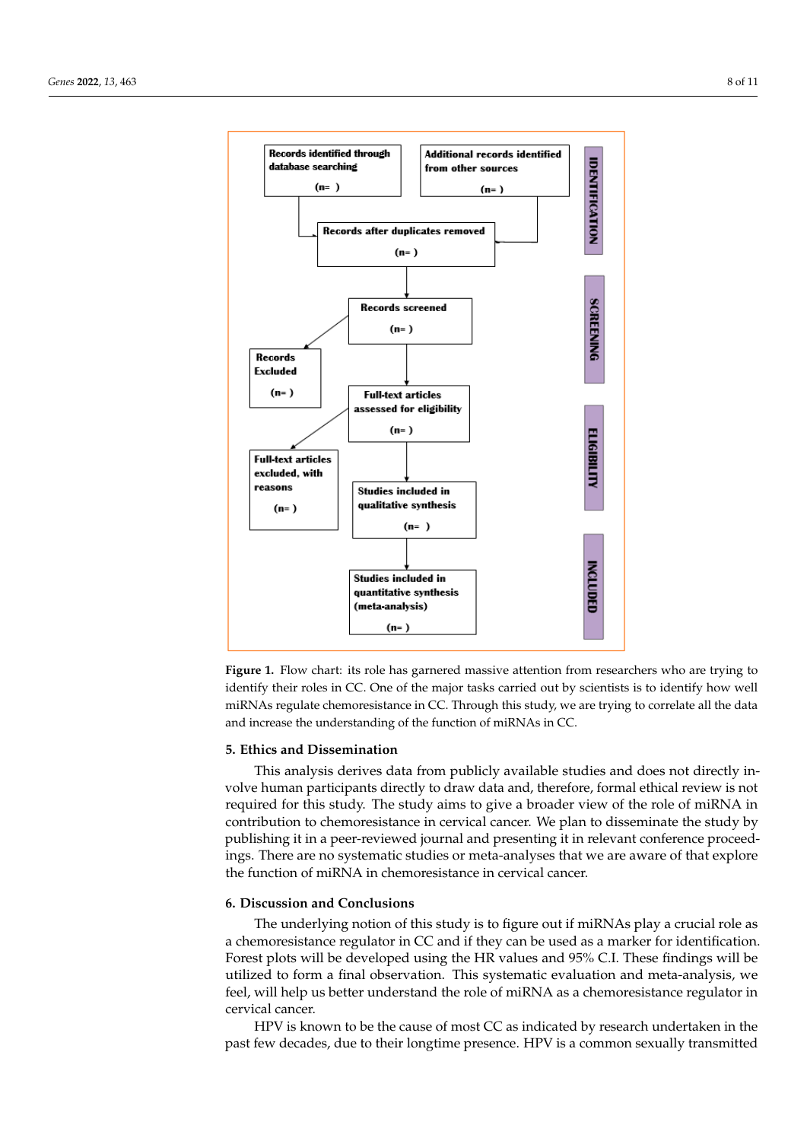<span id="page-8-0"></span>

**Figure 1.** Flow chart: its role has garnered massive attention from researchers who are trying to **Figure 1.** Flow chart: its role has garnered massive attention from researchers who are trying to identify their roles in CC. One of the major tasks carried out by scientists is to identify how well identify their roles in CC. One of the major tasks carried out by scientists is to identify how well miRNAs regulate chemoresistance in CC. Through this study, we are trying to correlate all the data miRNAs regulate chemoresistance in CC. Through this study, we are trying to correlate all the data and increase the understanding of the function of miRNAs in CC. and increase the understanding of the function of miRNAs in CC.

#### **5. Ethics and Dissemination 5. Ethics and Dissemination**

This analysis derives data from publicly available studies and does not directly in-This analysis derives data from publicly available studies and does not directly involve human participants directly to draw data and, therefore, formal ethical review is volve human participants directly to draw data and, therefore, formal ethical review is not required for this study. The study aims to give a broader view of the role of miRNA in contribution to chemoresistance in cervical cancer. We plan to disseminate the study by contribution to chemoresistance in cervical cancer. We plan to disseminate the study by<br>publishing it in a peer-reviewed journal and presenting it in relevant conference proceedings. There are no systematic studies or meta-analyses that we are aware of that explore ings. There are no systematic studies or meta-analyses that we are aware of that explore the function of miRNA in chemoresistance in cervical cancer. the function of miRNA in chemoresistance in cervical cancer.

# **6. Discussion and Conclusions 6. Discussion and Conclusions**

The underlying notion of this study is to figure out if miRNAs play a crucial role as a chemoresistance regulator in CC and if they can be used as a marker for identification. Forest plots will be developed using the HR values and 95% C.I. These findings will be will be developed using the HR values and 95% C.I. These findings will be utilized to form a final observation. This systematic evaluation and meta-analysis, we feel in the meta-analysis, we feel, will help us better understand the role of miRNA as a chemoresistance regulator in cal cancer. cervical cancer.

HPV is known to be the cause of most CC as indicated by research undertaken in the past few decades, due to their longtime presence. HPV is a common sexually transmitted past few decades, due to their longtime presence. HPV is a common sexually transmittedHPV is known to be the cause of most CC as indicated by research undertaken in the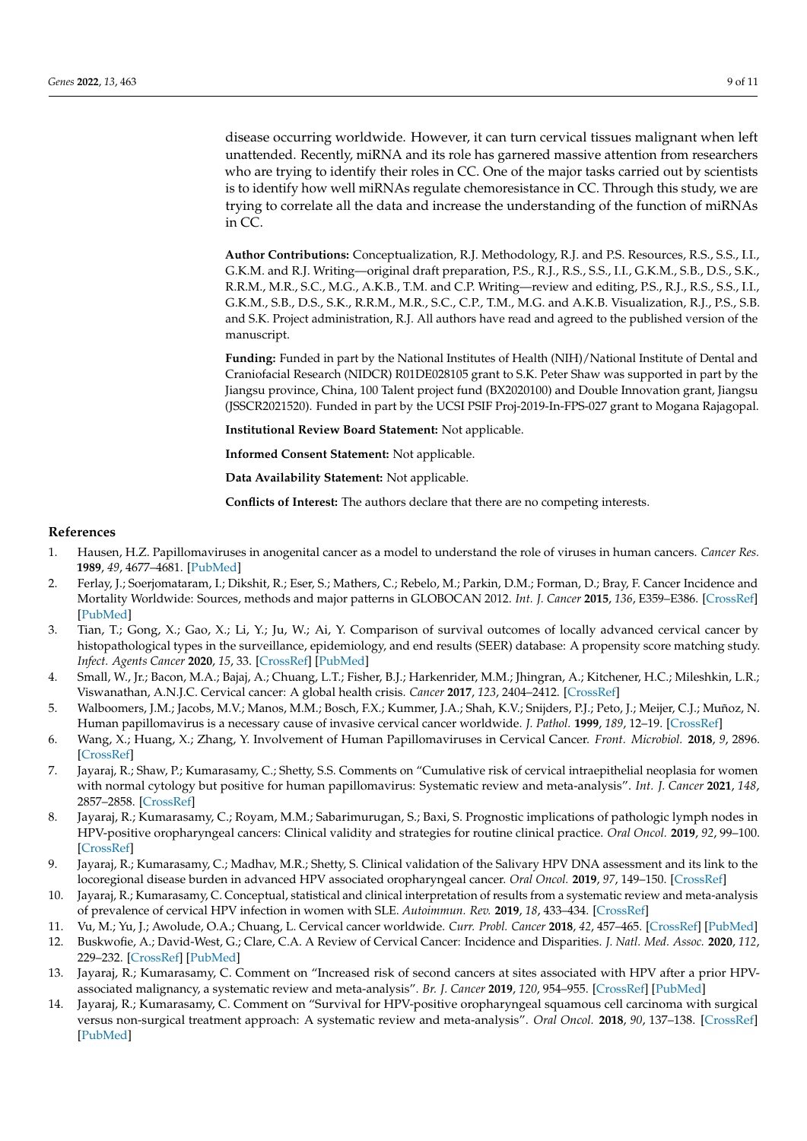disease occurring worldwide. However, it can turn cervical tissues malignant when left unattended. Recently, miRNA and its role has garnered massive attention from researchers who are trying to identify their roles in CC. One of the major tasks carried out by scientists is to identify how well miRNAs regulate chemoresistance in CC. Through this study, we are trying to correlate all the data and increase the understanding of the function of miRNAs in CC.

**Author Contributions:** Conceptualization, R.J. Methodology, R.J. and P.S. Resources, R.S., S.S., I.I., G.K.M. and R.J. Writing—original draft preparation, P.S., R.J., R.S., S.S., I.I., G.K.M., S.B., D.S., S.K., R.R.M., M.R., S.C., M.G., A.K.B., T.M. and C.P. Writing—review and editing, P.S., R.J., R.S., S.S., I.I., G.K.M., S.B., D.S., S.K., R.R.M., M.R., S.C., C.P., T.M., M.G. and A.K.B. Visualization, R.J., P.S., S.B. and S.K. Project administration, R.J. All authors have read and agreed to the published version of the manuscript.

**Funding:** Funded in part by the National Institutes of Health (NIH)/National Institute of Dental and Craniofacial Research (NIDCR) R01DE028105 grant to S.K. Peter Shaw was supported in part by the Jiangsu province, China, 100 Talent project fund (BX2020100) and Double Innovation grant, Jiangsu (JSSCR2021520). Funded in part by the UCSI PSIF Proj-2019-In-FPS-027 grant to Mogana Rajagopal.

**Institutional Review Board Statement:** Not applicable.

**Informed Consent Statement:** Not applicable.

**Data Availability Statement:** Not applicable.

**Conflicts of Interest:** The authors declare that there are no competing interests.

#### **References**

- <span id="page-9-0"></span>1. Hausen, H.Z. Papillomaviruses in anogenital cancer as a model to understand the role of viruses in human cancers. *Cancer Res.* **1989**, *49*, 4677–4681. [\[PubMed\]](http://www.ncbi.nlm.nih.gov/pubmed/2547512)
- <span id="page-9-1"></span>2. Ferlay, J.; Soerjomataram, I.; Dikshit, R.; Eser, S.; Mathers, C.; Rebelo, M.; Parkin, D.M.; Forman, D.; Bray, F. Cancer Incidence and Mortality Worldwide: Sources, methods and major patterns in GLOBOCAN 2012. *Int. J. Cancer* **2015**, *136*, E359–E386. [\[CrossRef\]](http://doi.org/10.1002/ijc.29210) [\[PubMed\]](http://www.ncbi.nlm.nih.gov/pubmed/25220842)
- <span id="page-9-2"></span>3. Tian, T.; Gong, X.; Gao, X.; Li, Y.; Ju, W.; Ai, Y. Comparison of survival outcomes of locally advanced cervical cancer by histopathological types in the surveillance, epidemiology, and end results (SEER) database: A propensity score matching study. *Infect. Agents Cancer* **2020**, *15*, 33. [\[CrossRef\]](http://doi.org/10.1186/s13027-020-00299-3) [\[PubMed\]](http://www.ncbi.nlm.nih.gov/pubmed/32435273)
- <span id="page-9-3"></span>4. Small, W., Jr.; Bacon, M.A.; Bajaj, A.; Chuang, L.T.; Fisher, B.J.; Harkenrider, M.M.; Jhingran, A.; Kitchener, H.C.; Mileshkin, L.R.; Viswanathan, A.N.J.C. Cervical cancer: A global health crisis. *Cancer* **2017**, *123*, 2404–2412. [\[CrossRef\]](http://doi.org/10.1002/cncr.30667)
- <span id="page-9-4"></span>5. Walboomers, J.M.; Jacobs, M.V.; Manos, M.M.; Bosch, F.X.; Kummer, J.A.; Shah, K.V.; Snijders, P.J.; Peto, J.; Meijer, C.J.; Muñoz, N. Human papillomavirus is a necessary cause of invasive cervical cancer worldwide. *J. Pathol.* **1999**, *189*, 12–19. [\[CrossRef\]](http://doi.org/10.1002/(SICI)1096-9896(199909)189:1<12::AID-PATH431>3.0.CO;2-F)
- <span id="page-9-8"></span>6. Wang, X.; Huang, X.; Zhang, Y. Involvement of Human Papillomaviruses in Cervical Cancer. *Front. Microbiol.* **2018**, *9*, 2896. [\[CrossRef\]](http://doi.org/10.3389/fmicb.2018.02896)
- <span id="page-9-5"></span>7. Jayaraj, R.; Shaw, P.; Kumarasamy, C.; Shetty, S.S. Comments on "Cumulative risk of cervical intraepithelial neoplasia for women with normal cytology but positive for human papillomavirus: Systematic review and meta-analysis". *Int. J. Cancer* **2021**, *148*, 2857–2858. [\[CrossRef\]](http://doi.org/10.1002/ijc.33511)
- <span id="page-9-6"></span>8. Jayaraj, R.; Kumarasamy, C.; Royam, M.M.; Sabarimurugan, S.; Baxi, S. Prognostic implications of pathologic lymph nodes in HPV-positive oropharyngeal cancers: Clinical validity and strategies for routine clinical practice. *Oral Oncol.* **2019**, *92*, 99–100. [\[CrossRef\]](http://doi.org/10.1016/j.oraloncology.2019.03.002)
- <span id="page-9-7"></span>9. Jayaraj, R.; Kumarasamy, C.; Madhav, M.R.; Shetty, S. Clinical validation of the Salivary HPV DNA assessment and its link to the locoregional disease burden in advanced HPV associated oropharyngeal cancer. *Oral Oncol.* **2019**, *97*, 149–150. [\[CrossRef\]](http://doi.org/10.1016/j.oraloncology.2019.07.027)
- <span id="page-9-9"></span>10. Jayaraj, R.; Kumarasamy, C. Conceptual, statistical and clinical interpretation of results from a systematic review and meta-analysis of prevalence of cervical HPV infection in women with SLE. *Autoimmun. Rev.* **2019**, *18*, 433–434. [\[CrossRef\]](http://doi.org/10.1016/j.autrev.2018.12.003)
- <span id="page-9-11"></span>11. Vu, M.; Yu, J.; Awolude, O.A.; Chuang, L. Cervical cancer worldwide. *Curr. Probl. Cancer* **2018**, *42*, 457–465. [\[CrossRef\]](http://doi.org/10.1016/j.currproblcancer.2018.06.003) [\[PubMed\]](http://www.ncbi.nlm.nih.gov/pubmed/30064936)
- <span id="page-9-12"></span>12. Buskwofie, A.; David-West, G.; Clare, C.A. A Review of Cervical Cancer: Incidence and Disparities. *J. Natl. Med. Assoc.* **2020**, *112*, 229–232. [\[CrossRef\]](http://doi.org/10.1016/j.jnma.2020.03.002) [\[PubMed\]](http://www.ncbi.nlm.nih.gov/pubmed/32278478)
- 13. Jayaraj, R.; Kumarasamy, C. Comment on "Increased risk of second cancers at sites associated with HPV after a prior HPVassociated malignancy, a systematic review and meta-analysis". *Br. J. Cancer* **2019**, *120*, 954–955. [\[CrossRef\]](http://doi.org/10.1038/s41416-019-0437-2) [\[PubMed\]](http://www.ncbi.nlm.nih.gov/pubmed/30911087)
- <span id="page-9-10"></span>14. Jayaraj, R.; Kumarasamy, C. Comment on "Survival for HPV-positive oropharyngeal squamous cell carcinoma with surgical versus non-surgical treatment approach: A systematic review and meta-analysis". *Oral Oncol.* **2018**, *90*, 137–138. [\[CrossRef\]](http://doi.org/10.1016/j.oraloncology.2018.12.019) [\[PubMed\]](http://www.ncbi.nlm.nih.gov/pubmed/30579681)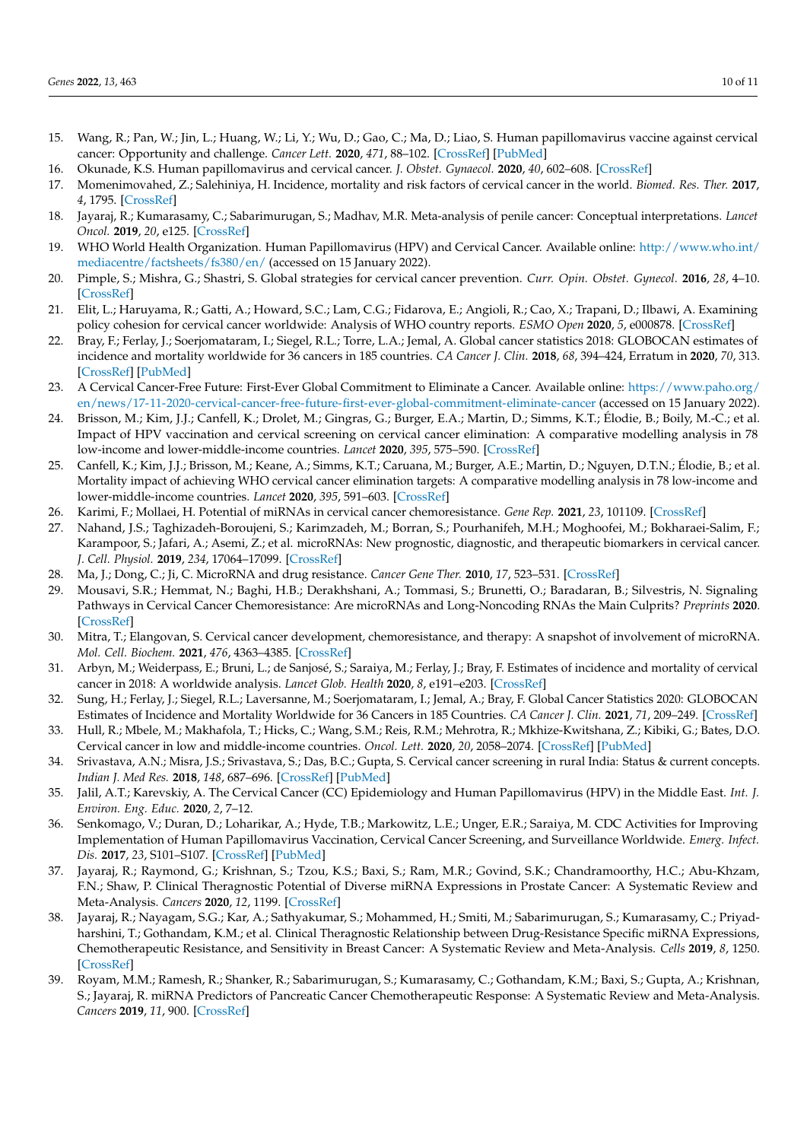- <span id="page-10-0"></span>15. Wang, R.; Pan, W.; Jin, L.; Huang, W.; Li, Y.; Wu, D.; Gao, C.; Ma, D.; Liao, S. Human papillomavirus vaccine against cervical cancer: Opportunity and challenge. *Cancer Lett.* **2020**, *471*, 88–102. [\[CrossRef\]](http://doi.org/10.1016/j.canlet.2019.11.039) [\[PubMed\]](http://www.ncbi.nlm.nih.gov/pubmed/31812696)
- <span id="page-10-1"></span>16. Okunade, K.S. Human papillomavirus and cervical cancer. *J. Obstet. Gynaecol.* **2020**, *40*, 602–608. [\[CrossRef\]](http://doi.org/10.1080/01443615.2019.1634030)
- <span id="page-10-2"></span>17. Momenimovahed, Z.; Salehiniya, H. Incidence, mortality and risk factors of cervical cancer in the world. *Biomed. Res. Ther.* **2017**, *4*, 1795. [\[CrossRef\]](http://doi.org/10.15419/bmrat.v4i12.386)
- <span id="page-10-3"></span>18. Jayaraj, R.; Kumarasamy, C.; Sabarimurugan, S.; Madhav, M.R. Meta-analysis of penile cancer: Conceptual interpretations. *Lancet Oncol.* **2019**, *20*, e125. [\[CrossRef\]](http://doi.org/10.1016/S1470-2045(19)30023-3)
- <span id="page-10-4"></span>19. WHO World Health Organization. Human Papillomavirus (HPV) and Cervical Cancer. Available online: [http://www.who.int/](http://www.who.int/mediacentre/factsheets/fs380/en/) [mediacentre/factsheets/fs380/en/](http://www.who.int/mediacentre/factsheets/fs380/en/) (accessed on 15 January 2022).
- <span id="page-10-5"></span>20. Pimple, S.; Mishra, G.; Shastri, S. Global strategies for cervical cancer prevention. *Curr. Opin. Obstet. Gynecol.* **2016**, *28*, 4–10. [\[CrossRef\]](http://doi.org/10.1097/GCO.0000000000000241)
- <span id="page-10-6"></span>21. Elit, L.; Haruyama, R.; Gatti, A.; Howard, S.C.; Lam, C.G.; Fidarova, E.; Angioli, R.; Cao, X.; Trapani, D.; Ilbawi, A. Examining policy cohesion for cervical cancer worldwide: Analysis of WHO country reports. *ESMO Open* **2020**, *5*, e000878. [\[CrossRef\]](http://doi.org/10.1136/esmoopen-2020-000878)
- <span id="page-10-7"></span>22. Bray, F.; Ferlay, J.; Soerjomataram, I.; Siegel, R.L.; Torre, L.A.; Jemal, A. Global cancer statistics 2018: GLOBOCAN estimates of incidence and mortality worldwide for 36 cancers in 185 countries. *CA Cancer J. Clin.* **2018**, *68*, 394–424, Erratum in **2020**, *70*, 313. [\[CrossRef\]](http://doi.org/10.3322/caac.21492) [\[PubMed\]](http://www.ncbi.nlm.nih.gov/pubmed/30207593)
- <span id="page-10-8"></span>23. A Cervical Cancer-Free Future: First-Ever Global Commitment to Eliminate a Cancer. Available online: [https://www.paho.org/](https://www.paho.org/en/news/17-11-2020-cervical-cancer-free-future-first-ever-global-commitment-eliminate-cancer) [en/news/17-11-2020-cervical-cancer-free-future-first-ever-global-commitment-eliminate-cancer](https://www.paho.org/en/news/17-11-2020-cervical-cancer-free-future-first-ever-global-commitment-eliminate-cancer) (accessed on 15 January 2022).
- <span id="page-10-9"></span>24. Brisson, M.; Kim, J.J.; Canfell, K.; Drolet, M.; Gingras, G.; Burger, E.A.; Martin, D.; Simms, K.T.; Élodie, B.; Boily, M.-C.; et al. Impact of HPV vaccination and cervical screening on cervical cancer elimination: A comparative modelling analysis in 78 low-income and lower-middle-income countries. *Lancet* **2020**, *395*, 575–590. [\[CrossRef\]](http://doi.org/10.1016/S0140-6736(20)30068-4)
- <span id="page-10-10"></span>25. Canfell, K.; Kim, J.J.; Brisson, M.; Keane, A.; Simms, K.T.; Caruana, M.; Burger, A.E.; Martin, D.; Nguyen, D.T.N.; Élodie, B.; et al. Mortality impact of achieving WHO cervical cancer elimination targets: A comparative modelling analysis in 78 low-income and lower-middle-income countries. *Lancet* **2020**, *395*, 591–603. [\[CrossRef\]](http://doi.org/10.1016/S0140-6736(20)30157-4)
- <span id="page-10-11"></span>26. Karimi, F.; Mollaei, H. Potential of miRNAs in cervical cancer chemoresistance. *Gene Rep.* **2021**, *23*, 101109. [\[CrossRef\]](http://doi.org/10.1016/j.genrep.2021.101109)
- <span id="page-10-12"></span>27. Nahand, J.S.; Taghizadeh-Boroujeni, S.; Karimzadeh, M.; Borran, S.; Pourhanifeh, M.H.; Moghoofei, M.; Bokharaei-Salim, F.; Karampoor, S.; Jafari, A.; Asemi, Z.; et al. microRNAs: New prognostic, diagnostic, and therapeutic biomarkers in cervical cancer. *J. Cell. Physiol.* **2019**, *234*, 17064–17099. [\[CrossRef\]](http://doi.org/10.1002/jcp.28457)
- <span id="page-10-13"></span>28. Ma, J.; Dong, C.; Ji, C. MicroRNA and drug resistance. *Cancer Gene Ther.* **2010**, *17*, 523–531. [\[CrossRef\]](http://doi.org/10.1038/cgt.2010.18)
- <span id="page-10-14"></span>29. Mousavi, S.R.; Hemmat, N.; Baghi, H.B.; Derakhshani, A.; Tommasi, S.; Brunetti, O.; Baradaran, B.; Silvestris, N. Signaling Pathways in Cervical Cancer Chemoresistance: Are microRNAs and Long-Noncoding RNAs the Main Culprits? *Preprints* **2020**. [\[CrossRef\]](http://doi.org/10.20944/preprints202004.0294.v1)
- <span id="page-10-15"></span>30. Mitra, T.; Elangovan, S. Cervical cancer development, chemoresistance, and therapy: A snapshot of involvement of microRNA. *Mol. Cell. Biochem.* **2021**, *476*, 4363–4385. [\[CrossRef\]](http://doi.org/10.1007/s11010-021-04249-4)
- <span id="page-10-16"></span>31. Arbyn, M.; Weiderpass, E.; Bruni, L.; de Sanjosé, S.; Saraiya, M.; Ferlay, J.; Bray, F. Estimates of incidence and mortality of cervical cancer in 2018: A worldwide analysis. *Lancet Glob. Health* **2020**, *8*, e191–e203. [\[CrossRef\]](http://doi.org/10.1016/S2214-109X(19)30482-6)
- <span id="page-10-17"></span>32. Sung, H.; Ferlay, J.; Siegel, R.L.; Laversanne, M.; Soerjomataram, I.; Jemal, A.; Bray, F. Global Cancer Statistics 2020: GLOBOCAN Estimates of Incidence and Mortality Worldwide for 36 Cancers in 185 Countries. *CA Cancer J. Clin.* **2021**, *71*, 209–249. [\[CrossRef\]](http://doi.org/10.3322/caac.21660)
- <span id="page-10-18"></span>33. Hull, R.; Mbele, M.; Makhafola, T.; Hicks, C.; Wang, S.M.; Reis, R.M.; Mehrotra, R.; Mkhize-Kwitshana, Z.; Kibiki, G.; Bates, D.O. Cervical cancer in low and middle-income countries. *Oncol. Lett.* **2020**, *20*, 2058–2074. [\[CrossRef\]](http://doi.org/10.3892/ol.2020.11754) [\[PubMed\]](http://www.ncbi.nlm.nih.gov/pubmed/32782524)
- <span id="page-10-19"></span>34. Srivastava, A.N.; Misra, J.S.; Srivastava, S.; Das, B.C.; Gupta, S. Cervical cancer screening in rural India: Status & current concepts. *Indian J. Med Res.* **2018**, *148*, 687–696. [\[CrossRef\]](http://doi.org/10.4103/ijmr.ijmr_5_17) [\[PubMed\]](http://www.ncbi.nlm.nih.gov/pubmed/30778002)
- <span id="page-10-20"></span>35. Jalil, A.T.; Karevskiy, A. The Cervical Cancer (CC) Epidemiology and Human Papillomavirus (HPV) in the Middle East. *Int. J. Environ. Eng. Educ.* **2020**, *2*, 7–12.
- <span id="page-10-21"></span>36. Senkomago, V.; Duran, D.; Loharikar, A.; Hyde, T.B.; Markowitz, L.E.; Unger, E.R.; Saraiya, M. CDC Activities for Improving Implementation of Human Papillomavirus Vaccination, Cervical Cancer Screening, and Surveillance Worldwide. *Emerg. Infect. Dis.* **2017**, *23*, S101–S107. [\[CrossRef\]](http://doi.org/10.3201/eid2313.170603) [\[PubMed\]](http://www.ncbi.nlm.nih.gov/pubmed/29155666)
- <span id="page-10-22"></span>37. Jayaraj, R.; Raymond, G.; Krishnan, S.; Tzou, K.S.; Baxi, S.; Ram, M.R.; Govind, S.K.; Chandramoorthy, H.C.; Abu-Khzam, F.N.; Shaw, P. Clinical Theragnostic Potential of Diverse miRNA Expressions in Prostate Cancer: A Systematic Review and Meta-Analysis. *Cancers* **2020**, *12*, 1199. [\[CrossRef\]](http://doi.org/10.3390/cancers12051199)
- 38. Jayaraj, R.; Nayagam, S.G.; Kar, A.; Sathyakumar, S.; Mohammed, H.; Smiti, M.; Sabarimurugan, S.; Kumarasamy, C.; Priyadharshini, T.; Gothandam, K.M.; et al. Clinical Theragnostic Relationship between Drug-Resistance Specific miRNA Expressions, Chemotherapeutic Resistance, and Sensitivity in Breast Cancer: A Systematic Review and Meta-Analysis. *Cells* **2019**, *8*, 1250. [\[CrossRef\]](http://doi.org/10.3390/cells8101250)
- 39. Royam, M.M.; Ramesh, R.; Shanker, R.; Sabarimurugan, S.; Kumarasamy, C.; Gothandam, K.M.; Baxi, S.; Gupta, A.; Krishnan, S.; Jayaraj, R. miRNA Predictors of Pancreatic Cancer Chemotherapeutic Response: A Systematic Review and Meta-Analysis. *Cancers* **2019**, *11*, 900. [\[CrossRef\]](http://doi.org/10.3390/cancers11070900)